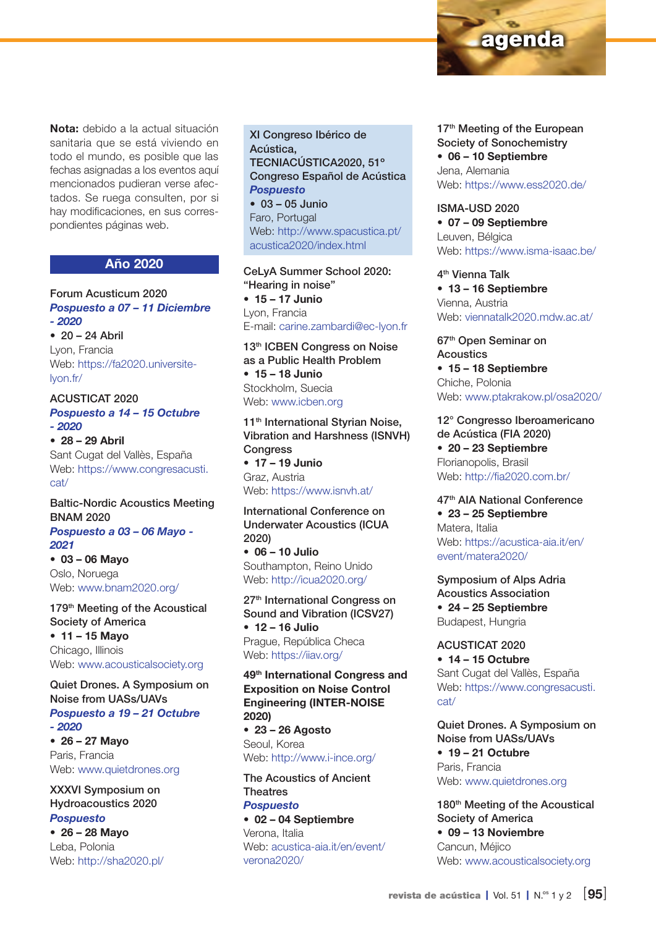Nota: debido a la actual situación sanitaria que se está viviendo en todo el mundo, es posible que las fechas asignadas a los eventos aquí mencionados pudieran verse afectados. Se ruega consulten, por si hay modificaciones, en sus correspondientes páginas web.

## Año 2020

Forum Acusticum 2020 *Pospuesto a 07 – 11 Diciembre - 2020*

 $\bullet$  20 – 24 Abril Lyon, Francia Web: [https://fa2020.universite](https://fa2020.universite-lyon.fr/)[lyon.fr/](https://fa2020.universite-lyon.fr/)

ACUSTICAT 2020 *Pospuesto a 14 – 15 Octubre - 2020*

• 28 – 29 Abril Sant Cugat del Vallès, España Web: [https://www.congresacusti.](https://www.congresacusti.cat/) [cat/](https://www.congresacusti.cat/)

Baltic-Nordic Acoustics Meeting BNAM 2020

*Pospuesto a 03 – 06 Mayo - 2021* • 03 – 06 Mayo

Oslo, Noruega Web: [www.bnam2020.org/](http://www.bnam2020.org/)

179<sup>th</sup> Meeting of the Acoustical Society of America • 11 – 15 Mayo Chicago, Illinois Web: [www.acousticalsociety.org](http://www.acousticalsociety.org)

Quiet Drones. A Symposium on Noise from UASs/UAVs *Pospuesto a 19 – 21 Octubre - 2020*

• 26 – 27 Mayo Paris, Francia Web: [www.quietdrones.org](http://www.quietdrones.org)

XXXVI Symposium on Hydroacoustics 2020 *Pospuesto* • 26 – 28 Mayo Leba, Polonia

Web: <http://sha2020.pl/>

XI Congreso Ibérico de Acústica, TECNIACÚSTICA2020, 51º Congreso Español de Acústica *Pospuesto* • 03 – 05 Junio

Faro, Portugal Web: [http://www.spacustica.pt/](http://www.spacustica.pt/acustica2020/index.html) [acustica2020/index.html](http://www.spacustica.pt/acustica2020/index.html)

CeLyA Summer School 2020: "Hearing in noise" • 15 – 17 Junio Lyon, Francia E-mail: [carine.zambardi@ec-lyon.fr](mailto:carine.zambardi%40ec-lyon.fr?subject=)

13<sup>th</sup> ICBEN Congress on Noise as a Public Health Problem • 15 – 18 Junio Stockholm, Suecia Web: [www.icben.org](http://www.icben.org)

11<sup>th</sup> International Styrian Noise, Vibration and Harshness (ISNVH) **Congress** • 17 – 19 Junio Graz, Austria Web:<https://www.isnvh.at/>

International Conference on Underwater Acoustics (ICUA 2020) • 06 – 10 Julio Southampton, Reino Unido Web:<http://icua2020.org/>

27<sup>th</sup> International Congress on Sound and Vibration (ICSV27) • 12 – 16 Julio Prague, República Checa Web:<https://iiav.org/>

49<sup>th</sup> International Congress and Exposition on Noise Control Engineering (INTER-NOISE 2020) • 23 – 26 Agosto Seoul, Korea Web:<http://www.i-ince.org/>

The Acoustics of Ancient **Theatres** *Pospuesto*

• 02 – 04 Septiembre Verona, Italia Web: [acustica-aia.it/en/event/](http://acustica-aia.it/en/event/verona2020/) [verona2020/](http://acustica-aia.it/en/event/verona2020/)

17<sup>th</sup> Meeting of the European Society of Sonochemistry • 06 – 10 Septiembre Jena, Alemania

agenda

Web:<https://www.ess2020.de/>

ISMA-USD 2020 • 07 – 09 Septiembre Leuven, Bélgica Web:<https://www.isma-isaac.be/>

4th Vienna Talk • 13 – 16 Septiembre Vienna, Austria Web: [viennatalk2020.mdw.ac.at/](http://viennatalk2020.mdw.ac.at/)

67th Open Seminar on Acoustics • 15 – 18 Septiembre Chiche, Polonia Web: [www.ptakrakow.pl/osa2020/](http://www.ptakrakow.pl/osa2020/)

12° Congresso Iberoamericano de Acústica (FIA 2020) • 20 – 23 Septiembre Florianopolis, Brasil Web:<http://fia2020.com.br/>

47th AIA National Conference • 23 – 25 Septiembre Matera, Italia Web: [https://acustica-aia.it/en/](https://acustica-aia.it/en/event/matera2020/) [event/matera2020/](https://acustica-aia.it/en/event/matera2020/)

Symposium of Alps Adria Acoustics Association • 24 – 25 Septiembre Budapest, Hungria

ACUSTICAT 2020 • 14 – 15 Octubre Sant Cugat del Vallès, España Web: [https://www.congresacusti.](https://www.congresacusti.cat/) [cat/](https://www.congresacusti.cat/)

Quiet Drones. A Symposium on Noise from UASs/UAVs • 19 – 21 Octubre Paris, Francia Web: [www.quietdrones.org](http://www.quietdrones.org)

180<sup>th</sup> Meeting of the Acoustical Society of America • 09 – 13 Noviembre Cancun, Méjico Web: [www.acousticalsociety.org](http://www.acousticalsociety.org)